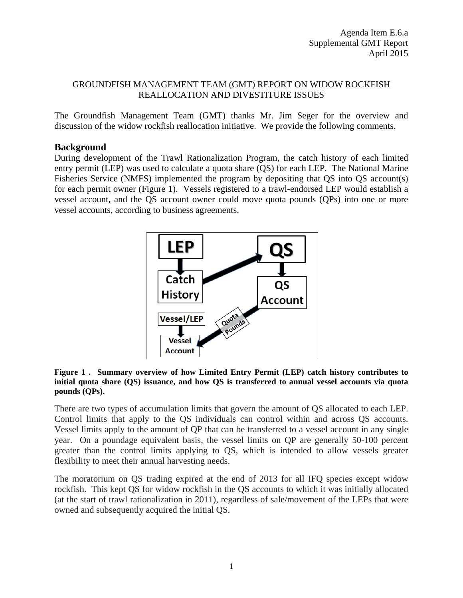### GROUNDFISH MANAGEMENT TEAM (GMT) REPORT ON WIDOW ROCKFISH REALLOCATION AND DIVESTITURE ISSUES

The Groundfish Management Team (GMT) thanks Mr. Jim Seger for the overview and discussion of the widow rockfish reallocation initiative. We provide the following comments.

### **Background**

During development of the Trawl Rationalization Program, the catch history of each limited entry permit (LEP) was used to calculate a quota share (QS) for each LEP. The National Marine Fisheries Service (NMFS) implemented the program by depositing that QS into QS account(s) for each permit owner [\(Figure 1\)](#page-0-0). Vessels registered to a trawl-endorsed LEP would establish a vessel account, and the QS account owner could move quota pounds (QPs) into one or more vessel accounts, according to business agreements.



#### <span id="page-0-0"></span>**Figure 1 . Summary overview of how Limited Entry Permit (LEP) catch history contributes to initial quota share (QS) issuance, and how QS is transferred to annual vessel accounts via quota pounds (QPs).**

There are two types of accumulation limits that govern the amount of QS allocated to each LEP. Control limits that apply to the QS individuals can control within and across QS accounts. Vessel limits apply to the amount of QP that can be transferred to a vessel account in any single year. On a poundage equivalent basis, the vessel limits on QP are generally 50-100 percent greater than the control limits applying to QS, which is intended to allow vessels greater flexibility to meet their annual harvesting needs.

The moratorium on QS trading expired at the end of 2013 for all IFQ species except widow rockfish. This kept QS for widow rockfish in the QS accounts to which it was initially allocated (at the start of trawl rationalization in 2011), regardless of sale/movement of the LEPs that were owned and subsequently acquired the initial QS.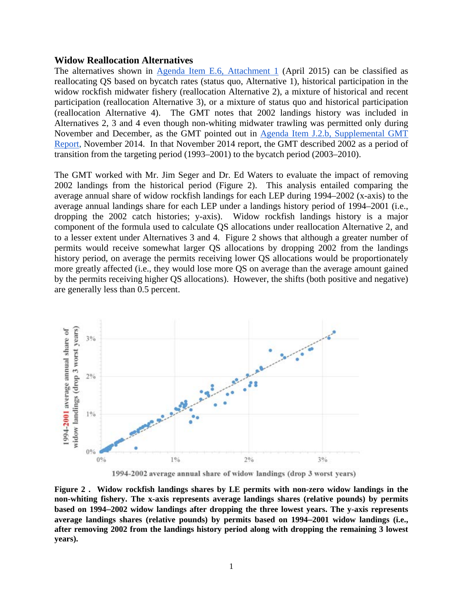#### **Widow Reallocation Alternatives**

The alternatives shown i[n](http://www.pcouncil.org/wp-content/uploads/2015/03/E6_Att1_WidowRF_DecisionDoc_APR2015BB.pdf) [Agenda Item E.6, Attachment 1](http://www.pcouncil.org/wp-content/uploads/2015/03/E6_Att1_WidowRF_DecisionDoc_APR2015BB.pdf) (April 2015) can be classified as reallocating QS based on bycatch rates (status quo, Alternative 1), historical participation in the widow rockfish midwater fishery (reallocation Alternative 2), a mixture of historical and recent participation (reallocation Alternative 3), or a mixture of status quo and historical participation (reallocation Alternative 4). The GMT notes that 2002 landings history was included in Alternatives 2, 3 and 4 even though non-whiting midwater trawling was permitted only during November and December, as the GMT pointed out in [Agenda Item J.2.b, Supplemental GMT](http://www.pcouncil.org/wp-content/uploads/J2b_Sup_GMT_Rpt_NOV2014BB.pdf)  [Report,](http://www.pcouncil.org/wp-content/uploads/J2b_Sup_GMT_Rpt_NOV2014BB.pdf) November 2014. In that November 2014 report, the GMT described 2002 as a period of transition from the targeting period (1993–2001) to the bycatch period (2003–2010).

The GMT worked with Mr. Jim Seger and Dr. Ed Waters to evaluate the impact of removing 2002 landings from the historical period [\(Figure 2\)](#page-1-0). This analysis entailed comparing the average annual share of widow rockfish landings for each LEP during 1994–2002 (x-axis) to the average annual landings share for each LEP under a landings history period of 1994–2001 (i.e., dropping the 2002 catch histories; y-axis). Widow rockfish landings history is a major component of the formula used to calculate QS allocations under reallocation Alternative 2, and to a lesser extent under Alternatives 3 and 4. [Figure 2](#page-1-0) shows that although a greater number of permits would receive somewhat larger QS allocations by dropping 2002 from the landings history period, on average the permits receiving lower QS allocations would be proportionately more greatly affected (i.e., they would lose more QS on average than the average amount gained by the permits receiving higher QS allocations). However, the shifts (both positive and negative) are generally less than 0.5 percent.



1994-2002 average annual share of widow landings (drop 3 worst years)

<span id="page-1-0"></span>**Figure 2 . Widow rockfish landings shares by LE permits with non-zero widow landings in the non-whiting fishery. The x-axis represents average landings shares (relative pounds) by permits based on 1994–2002 widow landings after dropping the three lowest years. The y-axis represents average landings shares (relative pounds) by permits based on 1994–2001 widow landings (i.e., after removing 2002 from the landings history period along with dropping the remaining 3 lowest years).**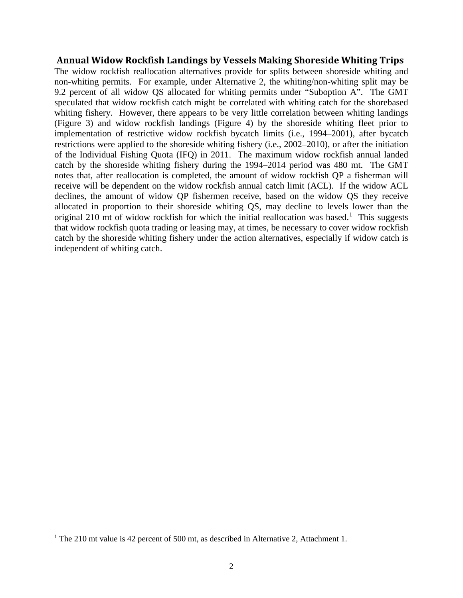### **Annual Widow Rockfish Landings by Vessels Making Shoreside Whiting Trips**

The widow rockfish reallocation alternatives provide for splits between shoreside whiting and non-whiting permits. For example, under Alternative 2, the whiting/non-whiting split may be 9.2 percent of all widow QS allocated for whiting permits under "Suboption A". The GMT speculated that widow rockfish catch might be correlated with whiting catch for the shorebased whiting fishery. However, there appears to be very little correlation between whiting landings [\(Figure 3\)](#page-3-0) and widow rockfish landings [\(Figure 4\)](#page-3-1) by the shoreside whiting fleet prior to implementation of restrictive widow rockfish bycatch limits (i.e., 1994–2001), after bycatch restrictions were applied to the shoreside whiting fishery (i.e., 2002–2010), or after the initiation of the Individual Fishing Quota (IFQ) in 2011. The maximum widow rockfish annual landed catch by the shoreside whiting fishery during the 1994–2014 period was 480 mt. The GMT notes that, after reallocation is completed, the amount of widow rockfish QP a fisherman will receive will be dependent on the widow rockfish annual catch limit (ACL). If the widow ACL declines, the amount of widow QP fishermen receive, based on the widow QS they receive allocated in proportion to their shoreside whiting QS, may decline to levels lower than the original 2[1](#page-2-0)0 mt of widow rockfish for which the initial reallocation was based.<sup>1</sup> This suggests that widow rockfish quota trading or leasing may, at times, be necessary to cover widow rockfish catch by the shoreside whiting fishery under the action alternatives, especially if widow catch is independent of whiting catch.

 $\overline{\phantom{a}}$ 

<span id="page-2-0"></span><sup>&</sup>lt;sup>1</sup> The 210 mt value is 42 percent of 500 mt, as described in Alternative 2, Attachment 1.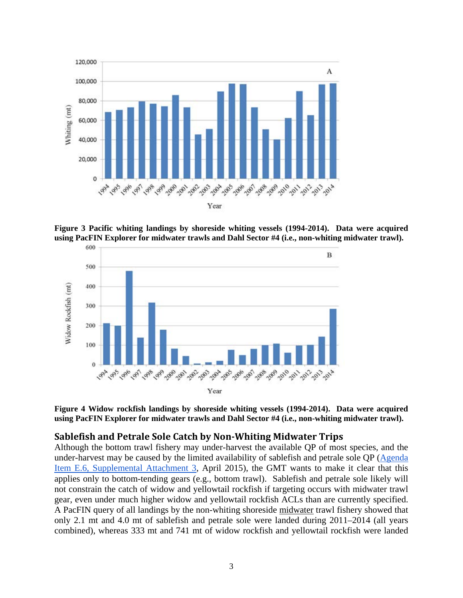

<span id="page-3-0"></span>**Figure 3 Pacific whiting landings by shoreside whiting vessels (1994-2014). Data were acquired using PacFIN Explorer for midwater trawls and Dahl Sector #4 (i.e., non-whiting midwater trawl).**



<span id="page-3-1"></span>

### **Sablefish and Petrale Sole Catch by Non-Whiting Midwater Trips**

Although the bottom trawl fishery may under-harvest the available QP of most species, and the under-harvest may be caused by the limited availability of sablefish and petrale sole QP [\(Agenda](http://www.pcouncil.org/wp-content/uploads/2015/04/E6_SupAtt3_WidowRF_DecisionDoc_APR2015BB.pdf)  [Item E.6, Supplemental Attachment 3,](http://www.pcouncil.org/wp-content/uploads/2015/04/E6_SupAtt3_WidowRF_DecisionDoc_APR2015BB.pdf) April 2015), the GMT wants to make it clear that this applies only to bottom-tending gears (e.g., bottom trawl). Sablefish and petrale sole likely will not constrain the catch of widow and yellowtail rockfish if targeting occurs with midwater trawl gear, even under much higher widow and yellowtail rockfish ACLs than are currently specified. A PacFIN query of all landings by the non-whiting shoreside midwater trawl fishery showed that only 2.1 mt and 4.0 mt of sablefish and petrale sole were landed during 2011–2014 (all years combined), whereas 333 mt and 741 mt of widow rockfish and yellowtail rockfish were landed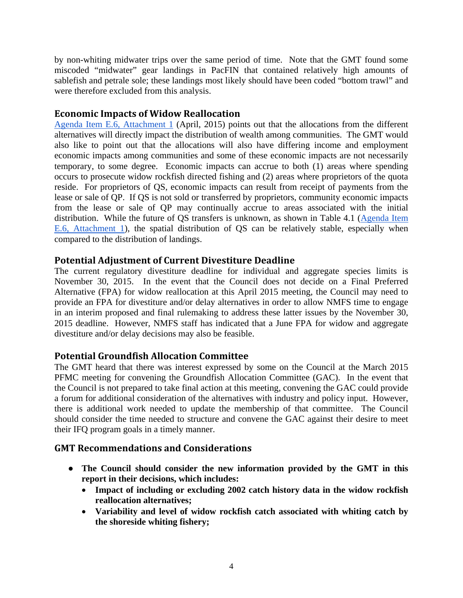by non-whiting midwater trips over the same period of time. Note that the GMT found some miscoded "midwater" gear landings in PacFIN that contained relatively high amounts of sablefish and petrale sole; these landings most likely should have been coded "bottom trawl" and were therefore excluded from this analysis.

## **Economic Impacts of Widow Reallocation**

[Agenda Item E.6, Attachment 1](http://www.pcouncil.org/wp-content/uploads/2015/03/E6_Att1_WidowRF_DecisionDoc_APR2015BB.pdf) (April, 2015) points out that the allocations from the different alternatives will directly impact the distribution of wealth among communities. The GMT would also like to point out that the allocations will also have differing income and employment economic impacts among communities and some of these economic impacts are not necessarily temporary, to some degree. Economic impacts can accrue to both (1) areas where spending occurs to prosecute widow rockfish directed fishing and (2) areas where proprietors of the quota reside. For proprietors of QS, economic impacts can result from receipt of payments from the lease or sale of QP. If QS is not sold or transferred by proprietors, community economic impacts from the lease or sale of QP may continually accrue to areas associated with the initial distribution. While the future of QS transfers is unknown, as shown in Table 4.1 [\(Agenda Item](http://www.pcouncil.org/wp-content/uploads/2015/03/E6_Att1_WidowRF_DecisionDoc_APR2015BB.pdf)  [E.6, Attachment 1\)](http://www.pcouncil.org/wp-content/uploads/2015/03/E6_Att1_WidowRF_DecisionDoc_APR2015BB.pdf), the spatial distribution of QS can be relatively stable, especially when compared to the distribution of landings.

# **Potential Adjustment of Current Divestiture Deadline**

The current regulatory divestiture deadline for individual and aggregate species limits is November 30, 2015. In the event that the Council does not decide on a Final Preferred Alternative (FPA) for widow reallocation at this April 2015 meeting, the Council may need to provide an FPA for divestiture and/or delay alternatives in order to allow NMFS time to engage in an interim proposed and final rulemaking to address these latter issues by the November 30, 2015 deadline. However, NMFS staff has indicated that a June FPA for widow and aggregate divestiture and/or delay decisions may also be feasible.

# **Potential Groundfish Allocation Committee**

The GMT heard that there was interest expressed by some on the Council at the March 2015 PFMC meeting for convening the Groundfish Allocation Committee (GAC). In the event that the Council is not prepared to take final action at this meeting, convening the GAC could provide a forum for additional consideration of the alternatives with industry and policy input. However, there is additional work needed to update the membership of that committee. The Council should consider the time needed to structure and convene the GAC against their desire to meet their IFQ program goals in a timely manner.

# **GMT Recommendations and Considerations**

- **The Council should consider the new information provided by the GMT in this report in their decisions, which includes:**
	- **Impact of including or excluding 2002 catch history data in the widow rockfish reallocation alternatives;**
	- **Variability and level of widow rockfish catch associated with whiting catch by the shoreside whiting fishery;**